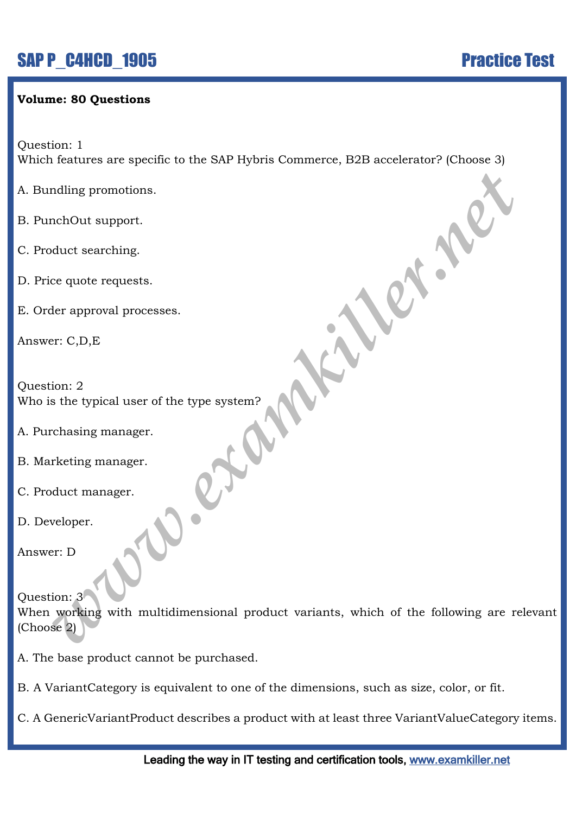#### **Volume: 80 Questions**

Question: 1

Which features are specific to the SAP Hybris Commerce, B2B accelerator? (Choose 3)

A. Bundling promotions.

B. PunchOut support.

C. Product searching.

D. Price quote requests.

E. Order approval processes.

Answer: C,D,E

Question: 2 Who is the typical user of the type system?

- A. Purchasing manager.
- B. Marketing manager.
- C. Product manager.
- D. Developer.

Answer: D

mating promotions.<br>
mchOut support.<br>
aduct searching.<br>
ce quote requests.<br>
er approval processes.<br>
er: C.D.E<br>
ion: 2<br>
si the typical user of the type system?<br>
rechasing manager.<br>
rechasing manager.<br>
weloper.<br>
weloper.<br>
wel Ouestion: 3 When working with multidimensional product variants, which of the following are relevant (Choose 2)

A. The base product cannot be purchased.

- B. A VariantCategory is equivalent to one of the dimensions, such as size, color, or fit.
- C. A GenericVariantProduct describes a product with at least three VariantValueCategory items.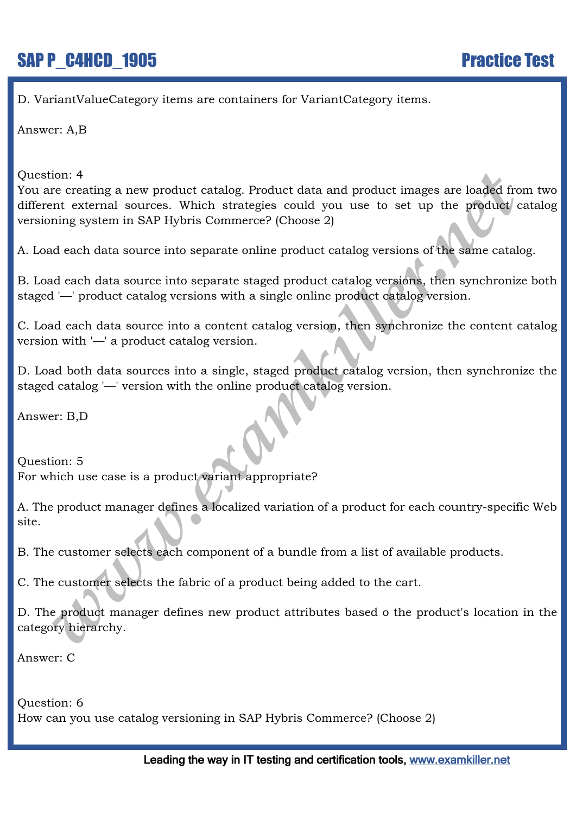D. VariantValueCategory items are containers for VariantCategory items.

Answer: A,B

Question: 4

on: 4<br> *w*ion: 4<br> *were* creating a new product catalog. Product data and product images are loaded from<br>
the retarnal sources. Which strategies could you use to set up the product can<br>
information and a source into separa You are creating a new product catalog. Product data and product images are loaded from two different external sources. Which strategies could you use to set up the product catalog versioning system in SAP Hybris Commerce? (Choose 2)

A. Load each data source into separate online product catalog versions of the same catalog.

B. Load each data source into separate staged product catalog versions, then synchronize both staged '—' product catalog versions with a single online product catalog version.

C. Load each data source into a content catalog version, then synchronize the content catalog version with '—' a product catalog version.

D. Load both data sources into a single, staged product catalog version, then synchronize the staged catalog '—' version with the online product catalog version.

Answer: B,D

Question: 5 For which use case is a product variant appropriate?

A. The product manager defines a localized variation of a product for each country-specific Web site.

B. The customer selects each component of a bundle from a list of available products.

C. The customer selects the fabric of a product being added to the cart.

D. The product manager defines new product attributes based o the product's location in the category hierarchy.

Answer: C

Question: 6 How can you use catalog versioning in SAP Hybris Commerce? (Choose 2)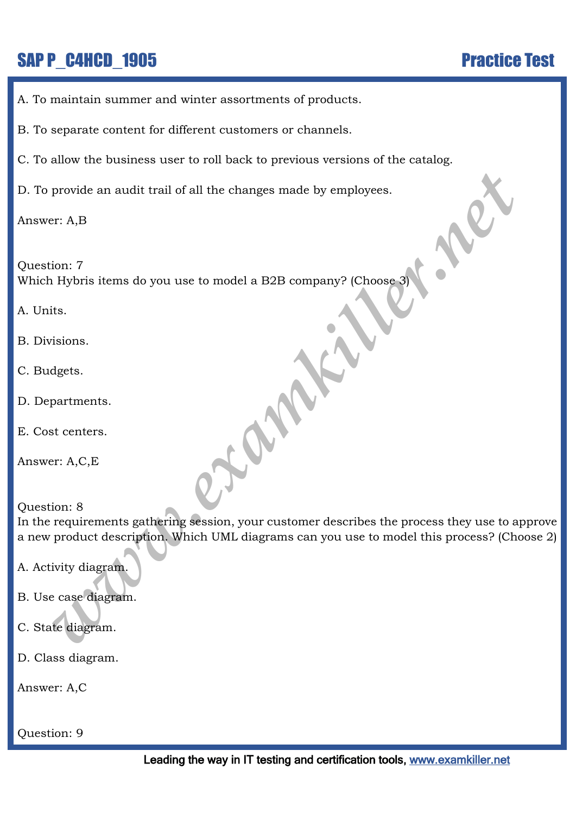A. To maintain summer and winter assortments of products.

B. To separate content for different customers or channels.

C. To allow the business user to roll back to previous versions of the catalog.

D. To provide an audit trail of all the changes made by employees.

Answer: A,B

Question: 7 Which Hybris items do you use to model a B2B company? (Choose 3)

A. Units.

- B. Divisions.
- C. Budgets.
- D. Departments.

E. Cost centers.

Answer: A,C,E

#### Question: 8

provide an audit trail of all the changes made by employees.<br> *wer:* A,B<br>
ion: 7<br> *which items do you use to model a B2B company? (Choose 3)*<br>
its.<br>
<br> *wissions.*<br> *examely active terms*<br> *were the process they use to appr* In the requirements gathering session, your customer describes the process they use to approve a new product description. Which UML diagrams can you use to model this process? (Choose 2)

A. Activity diagram.

- B. Use case diagram.
- C. State diagram.
- D. Class diagram.

Answer: A,C

Question: 9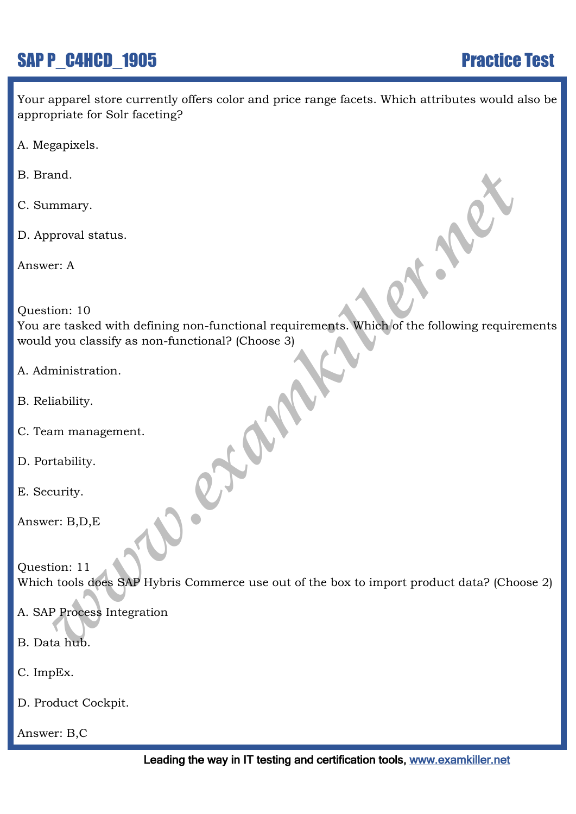Your apparel store currently offers color and price range facets. Which attributes would also be appropriate for Solr faceting?

- A. Megapixels.
- B. Brand.
- C. Summary.
- D. Approval status.

Answer: A

Question: 10

Amaray.<br>
monal status.<br>
proval status.<br>
proval status.<br>
er: A<br>
ion: 10<br>
you classify as non-functional? (Choose 3)<br>
ministration.<br>
ministration.<br>
mamanagement.<br>
ratability.<br>
surify.<br>
er: B,D,E<br>
ion: 11<br>
tools dees SAP Hybr You are tasked with defining non-functional requirements. Which of the following requirements would you classify as non-functional? (Choose 3)

- A. Administration.
- B. Reliability.
- C. Team management.
- D. Portability.
- E. Security.
- Answer: B,D,E

Question: 11 Which tools does SAP Hybris Commerce use out of the box to import product data? (Choose 2)

- A. SAP Process Integration
- B. Data hub.
- C. ImpEx.
- D. Product Cockpit.

Answer: B,C